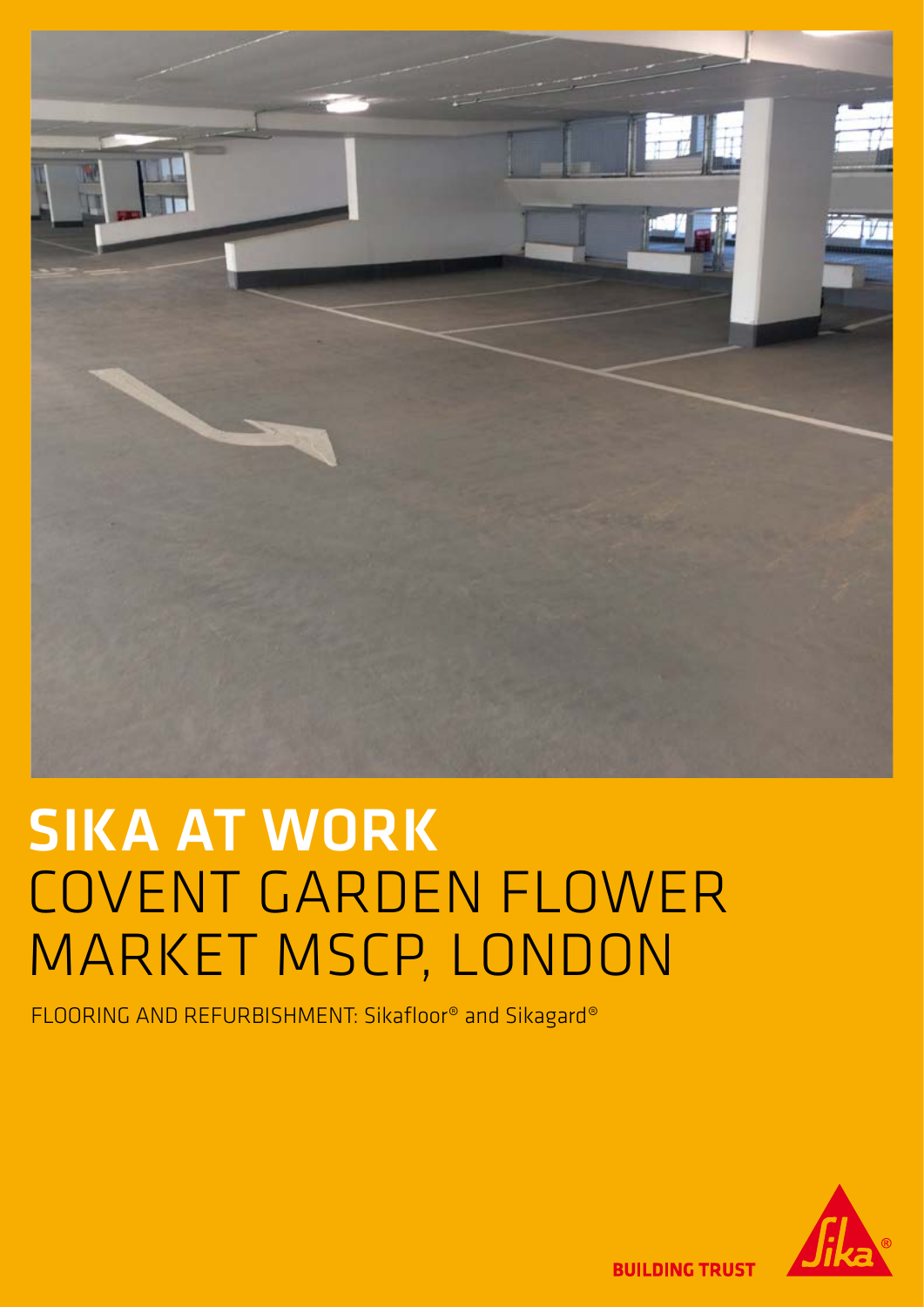

# SIKA AT WORK COVENT GARDEN FLOWER MARKET MSCP, LONDON

FLOORING AND REFURBISHMENT: Sikafloor® and Sikagard®



**BUILDING TRUST**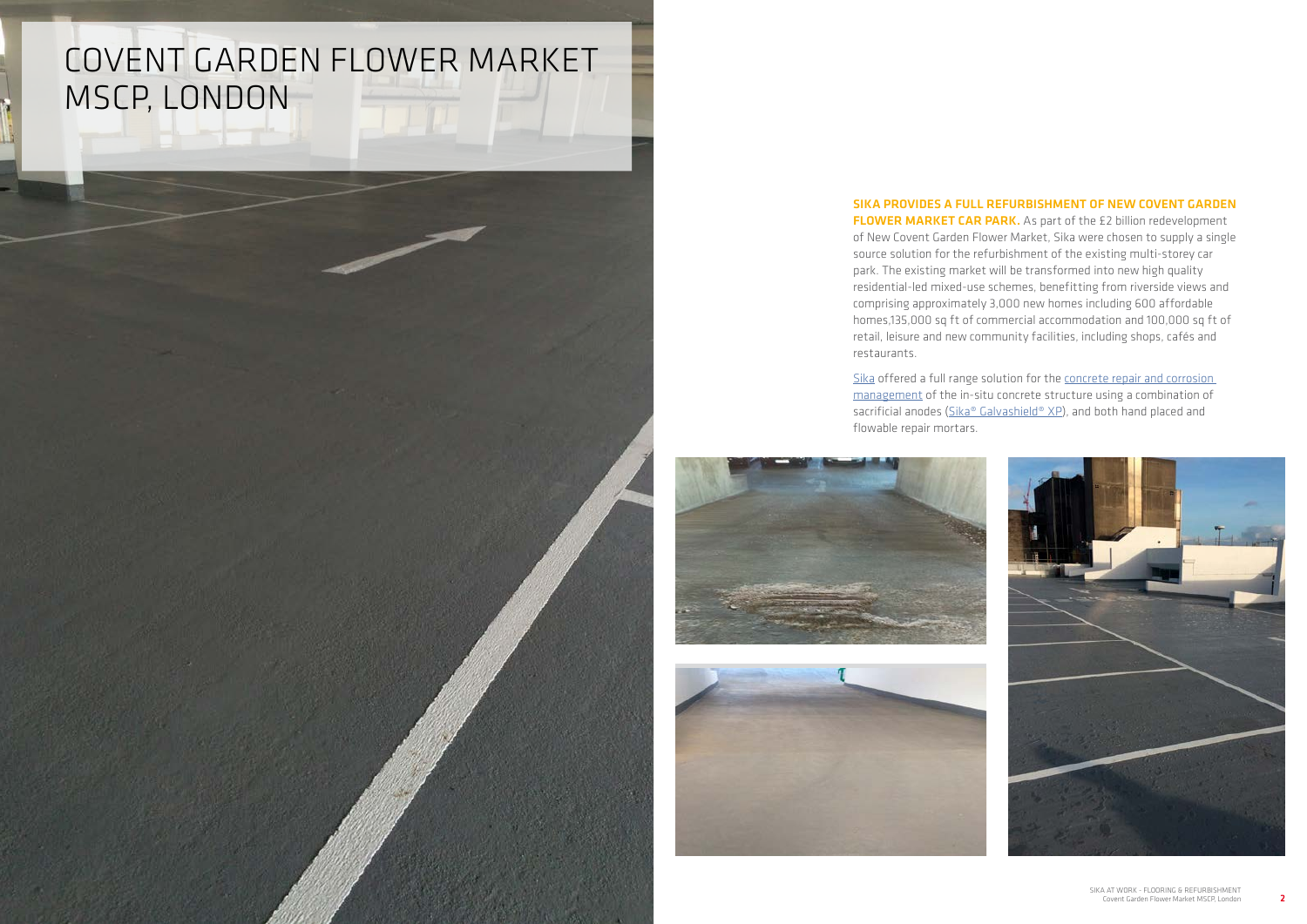## COVENT GARDEN FLOWER MARKET MSCP, LONDON

### SIKA PROVIDES A FULL REFURBISHMENT OF NEW COVENT GARDEN



FLOWER MARKET CAR PARK. As part of the £2 billion redevelopment of New Covent Garden Flower Market, Sika were chosen to supply a single source solution for the refurbishment of the existing multi-storey car park. The existing market will be transformed into new high quality residential-led mixed-use schemes, benefitting from riverside views and comprising approximately 3,000 new homes including 600 affordable homes,135,000 sq ft of commercial accommodation and 100,000 sq ft of retail, leisure and new community facilities, including shops, cafés and restaurants.

[Sika](http://www.sika.co.uk) offered a full range solution for the [concrete repair and corrosion](http://gbr.sika.com/en/concrete-refurbishment-repair/concrete-repair.html)  [management](http://gbr.sika.com/en/concrete-refurbishment-repair/concrete-repair.html) of the in-situ concrete structure using a combination of sacrificial anodes [\(Sika® Galvashield® XP\)](http://gbr.sika.com/en/concrete-refurbishment-repair/concrete-repair/total-corrosion-management/embedded-galvanic-and-impressed-current-cathodic-protection-anod.html), and both hand placed and flowable repair mortars.



![](_page_1_Picture_6.jpeg)